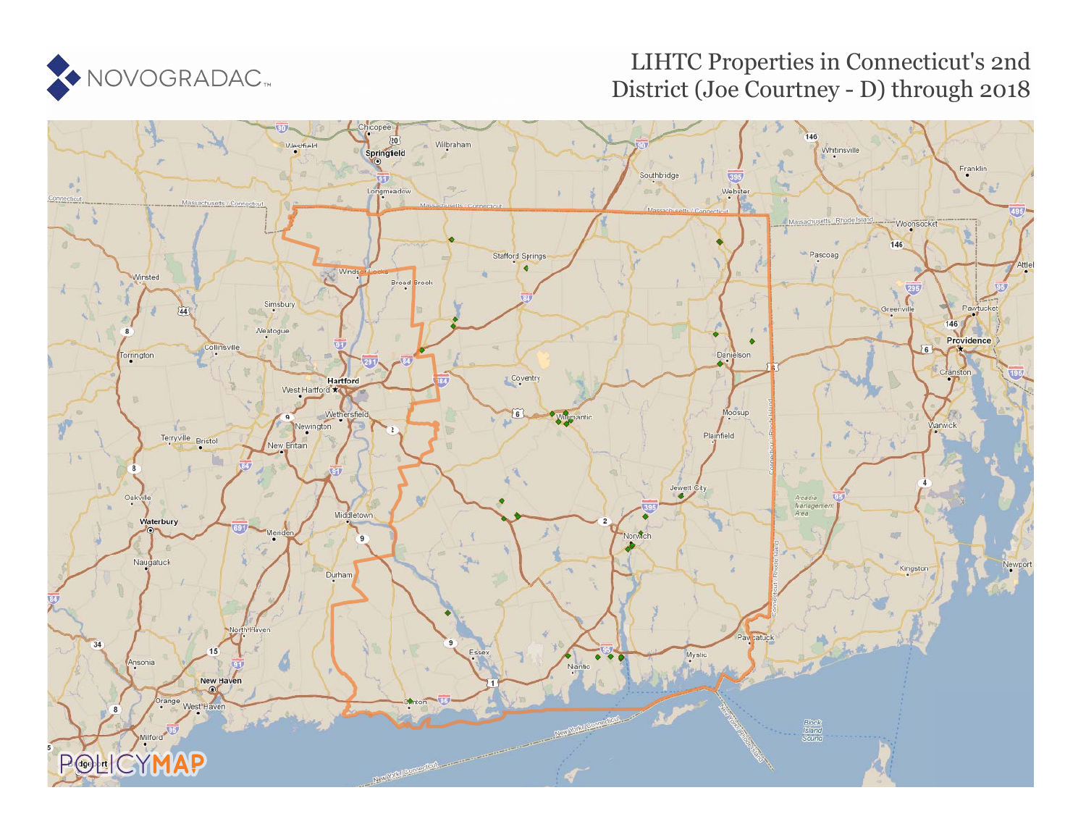

# LIHTC Properties in Connecticut's 2nd District (Joe Courtney - D) through 2018

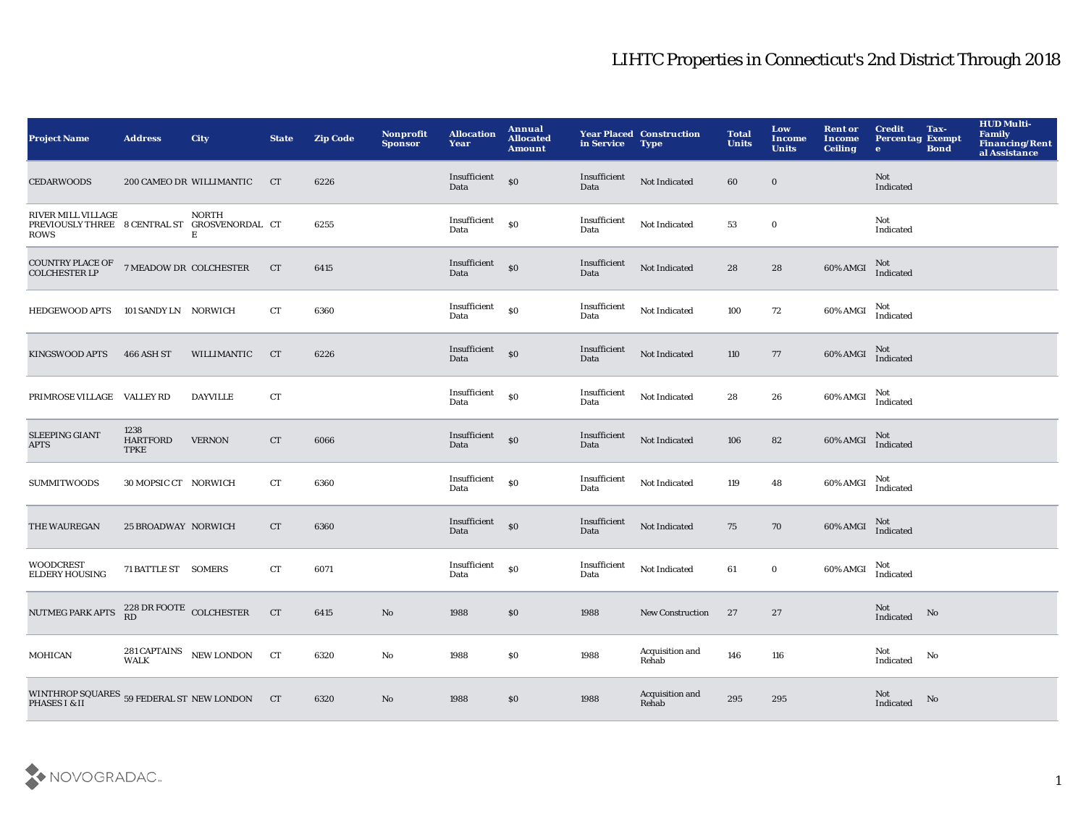| <b>Project Name</b>                                                                                                        | <b>Address</b>                         | <b>City</b>                     | <b>State</b> | <b>Zip Code</b> | <b>Nonprofit</b><br><b>Sponsor</b> | <b>Allocation</b><br>Year | <b>Annual</b><br><b>Allocated</b><br><b>Amount</b> | in Service           | <b>Year Placed Construction</b><br><b>Type</b> | <b>Total</b><br><b>Units</b> | Low<br><b>Income</b><br><b>Units</b> | <b>Rent or</b><br>Income<br><b>Ceiling</b> | <b>Credit</b><br>Tax-<br><b>Percentag Exempt</b><br><b>Bond</b><br>$\bullet$ | <b>HUD Multi-</b><br>Family<br><b>Financing/Rent</b><br>al Assistance |
|----------------------------------------------------------------------------------------------------------------------------|----------------------------------------|---------------------------------|--------------|-----------------|------------------------------------|---------------------------|----------------------------------------------------|----------------------|------------------------------------------------|------------------------------|--------------------------------------|--------------------------------------------|------------------------------------------------------------------------------|-----------------------------------------------------------------------|
| <b>CEDARWOODS</b>                                                                                                          |                                        | 200 CAMEO DR WILLIMANTIC        | CT           | 6226            |                                    | Insufficient<br>Data      | \$0                                                | Insufficient<br>Data | Not Indicated                                  | 60                           | $\bf{0}$                             |                                            | Not<br>Indicated                                                             |                                                                       |
| RIVER MILL VILLAGE<br>PREVIOUSLY THREE 8 CENTRAL ST GROSVENORDAL CT<br><b>ROWS</b>                                         |                                        | <b>NORTH</b><br>$\mathbf E$     |              | 6255            |                                    | Insufficient<br>Data      | \$0                                                | Insufficient<br>Data | Not Indicated                                  | 53                           | $\bf{0}$                             |                                            | Not<br>Indicated                                                             |                                                                       |
| $\begin{array}{lll}\text{COUNTRY PLACE OF} & \text{7 MEADOW DR} & \text{COLCHESTER} \\ \text{COLCHESTER LP} & \end{array}$ |                                        |                                 | CT           | 6415            |                                    | Insufficient<br>Data      | \$0                                                | Insufficient<br>Data | Not Indicated                                  | 28                           | ${\bf 28}$                           | 60% AMGI                                   | Not<br>Indicated                                                             |                                                                       |
| <b>HEDGEWOOD APTS</b>                                                                                                      | 101 SANDY LN NORWICH                   |                                 | CT           | 6360            |                                    | Insufficient<br>Data      | \$0                                                | Insufficient<br>Data | Not Indicated                                  | 100                          | 72                                   | 60% AMGI                                   | Not<br>Indicated                                                             |                                                                       |
| <b>KINGSWOOD APTS</b>                                                                                                      | 466 ASH ST                             | WILLIMANTIC                     | CT           | 6226            |                                    | Insufficient<br>Data      | $\mathbf{S}$                                       | Insufficient<br>Data | Not Indicated                                  | 110                          | 77                                   | 60% AMGI                                   | Not<br>Indicated                                                             |                                                                       |
| PRIMROSE VILLAGE VALLEY RD                                                                                                 |                                        | <b>DAYVILLE</b>                 | CT           |                 |                                    | Insufficient<br>Data      | \$0                                                | Insufficient<br>Data | Not Indicated                                  | 28                           | 26                                   | 60% AMGI                                   | Not<br>Indicated                                                             |                                                                       |
| <b>SLEEPING GIANT</b><br><b>APTS</b>                                                                                       | 1238<br><b>HARTFORD</b><br><b>TPKE</b> | <b>VERNON</b>                   | CT           | 6066            |                                    | Insufficient<br>Data      | \$0                                                | Insufficient<br>Data | Not Indicated                                  | 106                          | 82                                   | 60% AMGI                                   | Not<br>Indicated                                                             |                                                                       |
| <b>SUMMITWOODS</b>                                                                                                         | 30 MOPSIC CT NORWICH                   |                                 | CT           | 6360            |                                    | Insufficient<br>Data      | \$0                                                | Insufficient<br>Data | Not Indicated                                  | 119                          | 48                                   | 60% AMGI                                   | Not<br>Indicated                                                             |                                                                       |
| THE WAUREGAN                                                                                                               | 25 BROADWAY NORWICH                    |                                 | CT           | 6360            |                                    | Insufficient<br>Data      | $\$0$                                              | Insufficient<br>Data | Not Indicated                                  | 75                           | 70                                   | 60% AMGI                                   | Not<br>Indicated                                                             |                                                                       |
| <b>WOODCREST</b><br><b>ELDERY HOUSING</b>                                                                                  | 71 BATTLE ST SOMERS                    |                                 | CT           | 6071            |                                    | Insufficient<br>Data      | \$0                                                | Insufficient<br>Data | Not Indicated                                  | 61                           | $\mathbf 0$                          | 60% AMGI                                   | Not<br>Indicated                                                             |                                                                       |
| <b>NUTMEG PARK APTS</b>                                                                                                    | $228\,\mathrm{DR}$ FOOTE COLCHESTER RD |                                 | CT           | 6415            | $\rm No$                           | 1988                      | \$0                                                | 1988                 | <b>New Construction</b>                        | 27                           | 27                                   |                                            | Not<br>No<br>Indicated                                                       |                                                                       |
| <b>MOHICAN</b>                                                                                                             |                                        | 281 CAPTAINS<br>WALK NEW LONDON | CT           | 6320            | No                                 | 1988                      | \$0                                                | 1988                 | Acquisition and<br>Rehab                       | 146                          | 116                                  |                                            | Not<br>No<br>Indicated                                                       |                                                                       |
| WINTHROP SQUARES $\,$ 59 FEDERAL ST $\,$ NEW LONDON PHASES I & II                                                          |                                        |                                 | CT           | 6320            | $\mathbf{N}\mathbf{o}$             | 1988                      | \$0                                                | 1988                 | Acquisition and<br>Rehab                       | 295                          | 295                                  |                                            | Not<br>No<br>Indicated                                                       |                                                                       |

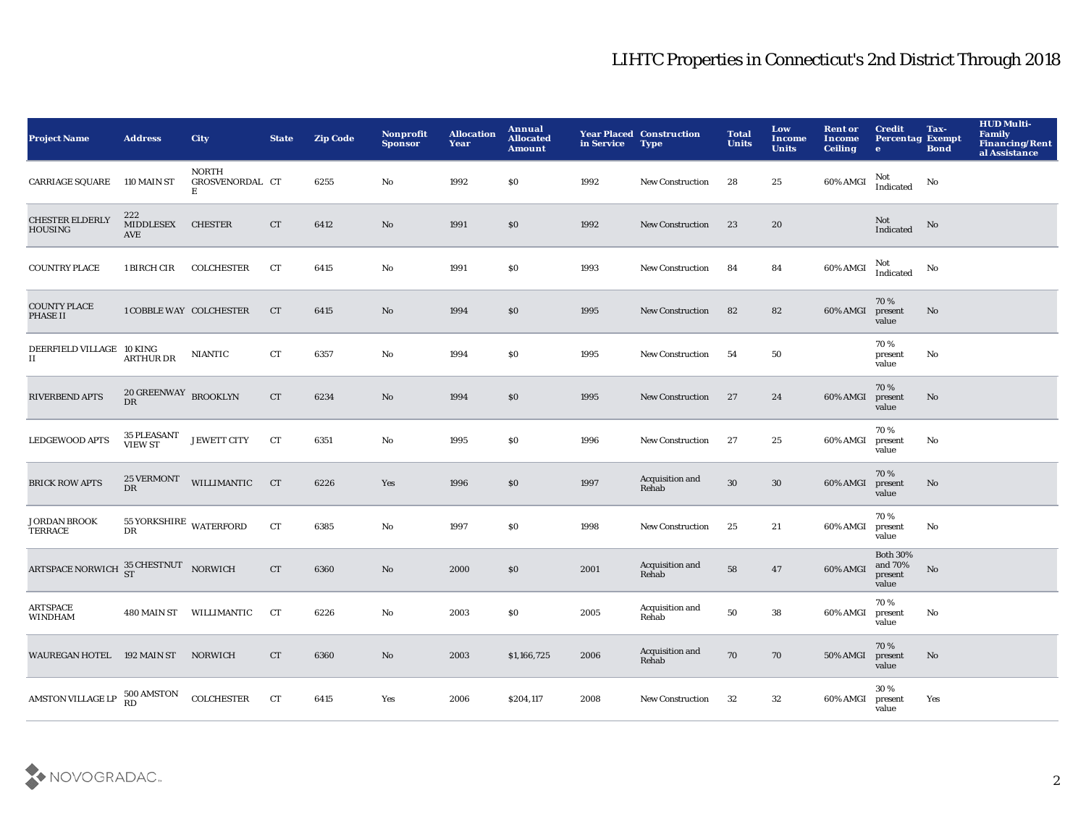| <b>Project Name</b>                      | <b>Address</b>                       | <b>City</b>                          | <b>State</b> | <b>Zip Code</b> | Nonprofit<br><b>Sponsor</b> | <b>Allocation</b><br>Year | Annual<br><b>Allocated</b><br><b>Amount</b> | in Service | <b>Year Placed Construction</b><br><b>Type</b> | <b>Total</b><br><b>Units</b> | Low<br>Income<br><b>Units</b> | <b>Rent or</b><br><b>Income</b><br><b>Ceiling</b> | <b>Credit</b><br><b>Percentag Exempt</b><br>$\bullet$ | Tax-<br><b>Bond</b>    | <b>HUD Multi-</b><br>Family<br><b>Financing/Rent</b><br>al Assistance |
|------------------------------------------|--------------------------------------|--------------------------------------|--------------|-----------------|-----------------------------|---------------------------|---------------------------------------------|------------|------------------------------------------------|------------------------------|-------------------------------|---------------------------------------------------|-------------------------------------------------------|------------------------|-----------------------------------------------------------------------|
| <b>CARRIAGE SQUARE</b>                   | 110 MAIN ST                          | <b>NORTH</b><br>GROSVENORDAL CT<br>E |              | 6255            | No                          | 1992                      | \$0\$                                       | 1992       | <b>New Construction</b>                        | 28                           | 25                            | 60% AMGI                                          | Not<br>Indicated                                      | No                     |                                                                       |
| <b>CHESTER ELDERLY</b><br><b>HOUSING</b> | 222<br><b>MIDDLESEX</b><br>AVE       | <b>CHESTER</b>                       | ${\rm CT}$   | 6412            | No                          | 1991                      | $\$0$                                       | 1992       | New Construction                               | 23                           | 20                            |                                                   | Not<br>Indicated                                      | No                     |                                                                       |
| <b>COUNTRY PLACE</b>                     | 1 BIRCH CIR                          | <b>COLCHESTER</b>                    | CT           | 6415            | $\mathbf{No}$               | 1991                      | S <sub>0</sub>                              | 1993       | <b>New Construction</b>                        | 84                           | 84                            | 60% AMGI                                          | Not<br>Indicated                                      | No                     |                                                                       |
| <b>COUNTY PLACE</b><br>PHASE II          | <b>1 COBBLE WAY COLCHESTER</b>       |                                      | CT           | 6415            | No                          | 1994                      | \$0                                         | 1995       | <b>New Construction</b>                        | 82                           | 82                            | 60% AMGI                                          | 70%<br>present<br>value                               | No                     |                                                                       |
| DEERFIELD VILLAGE 10 KING<br>п           | <b>ARTHUR DR</b>                     | <b>NIANTIC</b>                       | CT           | 6357            | No                          | 1994                      | $\$0$                                       | 1995       | New Construction                               | 54                           | 50                            |                                                   | 70%<br>present<br>value                               | No                     |                                                                       |
| <b>RIVERBEND APTS</b>                    | $20\,{\tt GREENWAY}$ BROOKLYN DR     |                                      | CT           | 6234            | No                          | 1994                      | $\$0$                                       | 1995       | <b>New Construction</b>                        | 27                           | 24                            | 60% AMGI                                          | 70%<br>present<br>value                               | $\mathbf{N}\mathbf{o}$ |                                                                       |
| <b>LEDGEWOOD APTS</b>                    | <b>35 PLEASANT</b><br><b>VIEW ST</b> | JEWETT CITY                          | ${\rm CT}$   | 6351            | No                          | 1995                      | \$0\$                                       | 1996       | New Construction                               | 27                           | 25                            | 60% AMGI                                          | 70%<br>present<br>value                               | No                     |                                                                       |
| <b>BRICK ROW APTS</b>                    | 25 VERMONT<br>DR                     | WILLIMANTIC                          | CT           | 6226            | Yes                         | 1996                      | \$0                                         | 1997       | Acquisition and<br>Rehab                       | 30                           | 30                            | 60% AMGI                                          | 70%<br>present<br>value                               | No                     |                                                                       |
| <b>JORDAN BROOK</b><br>TERRACE           | 55 YORKSHIRE WATERFORD<br>DR         |                                      | CT           | 6385            | No                          | 1997                      | S <sub>0</sub>                              | 1998       | <b>New Construction</b>                        | 25                           | 21                            | 60% AMGI                                          | 70%<br>present<br>value                               | No                     |                                                                       |
| ARTSPACE NORWICH                         | 35 CHESTNUT NORWICH                  |                                      | CT           | 6360            | No                          | 2000                      | \$0                                         | 2001       | Acquisition and<br>Rehab                       | 58                           | 47                            | 60% AMGI                                          | <b>Both 30%</b><br>and 70%<br>present<br>value        | No                     |                                                                       |
| ARTSPACE<br>WINDHAM                      | 480 MAIN ST                          | WILLIMANTIC                          | CT           | 6226            | No                          | 2003                      | $\$0$                                       | 2005       | Acquisition and<br>Rehab                       | 50                           | 38                            | 60% AMGI                                          | 70%<br>present<br>value                               | No                     |                                                                       |
| <b>WAUREGAN HOTEL</b>                    | 192 MAIN ST NORWICH                  |                                      | <b>CT</b>    | 6360            | No                          | 2003                      | \$1,166,725                                 | 2006       | Acquisition and<br>Rehab                       | 70                           | 70                            | <b>50% AMGI</b>                                   | 70%<br>present<br>value                               | No                     |                                                                       |
| <b>AMSTON VILLAGE LP</b>                 | 500 AMSTON<br>RD                     | <b>COLCHESTER</b>                    | CT           | 6415            | Yes                         | 2006                      | \$204,117                                   | 2008       | <b>New Construction</b>                        | 32                           | 32                            | 60% AMGI                                          | 30%<br>present<br>value                               | Yes                    |                                                                       |

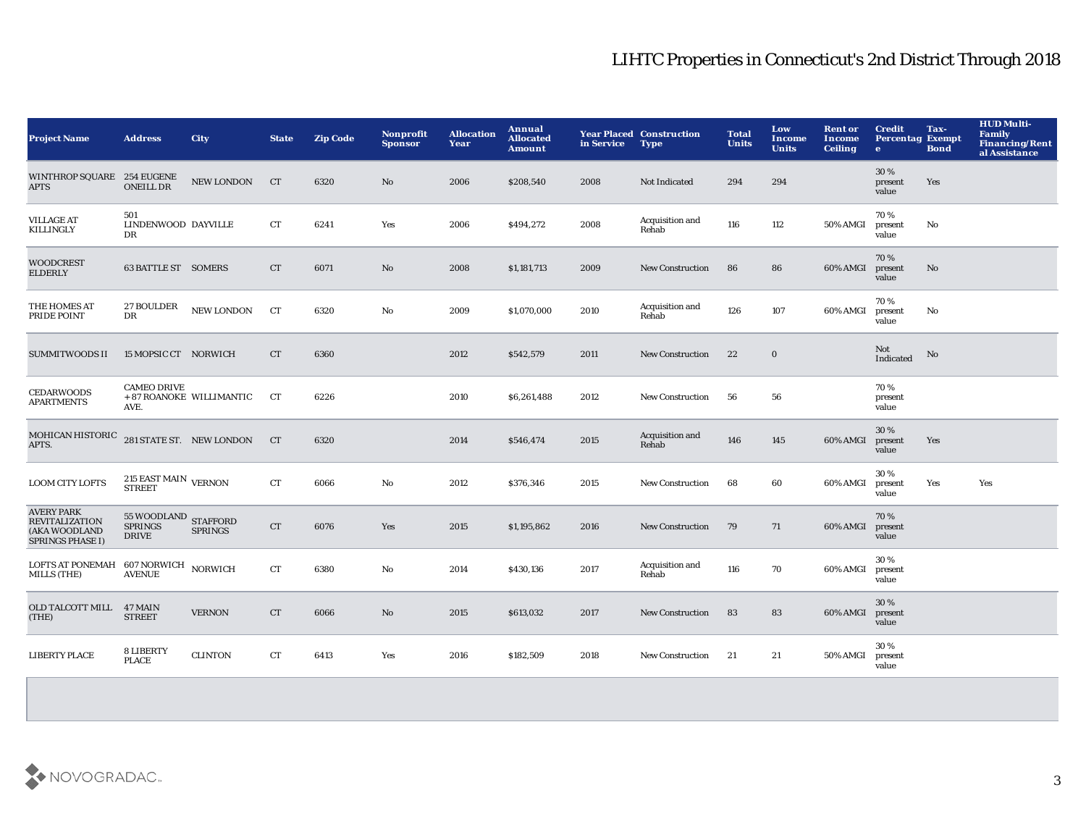| <b>Project Name</b>                                                                    | <b>Address</b>                                                  | City                     | <b>State</b>       | <b>Zip Code</b> | Nonprofit<br><b>Sponsor</b> | <b>Allocation</b><br>Year | Annual<br><b>Allocated</b><br><b>Amount</b> | in Service | <b>Year Placed Construction</b><br><b>Type</b> | <b>Total</b><br><b>Units</b> | Low<br><b>Income</b><br><b>Units</b> | <b>Rent or</b><br><b>Income</b><br><b>Ceiling</b> | <b>Credit</b><br><b>Percentag Exempt</b><br>$\bullet$ | Tax-<br><b>Bond</b> | <b>HUD Multi-</b><br><b>Family</b><br><b>Financing/Rent</b><br>al Assistance |
|----------------------------------------------------------------------------------------|-----------------------------------------------------------------|--------------------------|--------------------|-----------------|-----------------------------|---------------------------|---------------------------------------------|------------|------------------------------------------------|------------------------------|--------------------------------------|---------------------------------------------------|-------------------------------------------------------|---------------------|------------------------------------------------------------------------------|
| WINTHROP SQUARE 254 EUGENE<br><b>APTS</b>                                              | <b>ONEILL DR</b>                                                | <b>NEW LONDON</b>        | CT                 | 6320            | No.                         | 2006                      | \$208,540                                   | 2008       | Not Indicated                                  | 294                          | 294                                  |                                                   | 30 %<br>present<br>value                              | Yes                 |                                                                              |
| <b>VILLAGE AT</b><br><b>KILLINGLY</b>                                                  | 501<br>LINDENWOOD DAYVILLE<br>DR                                |                          | CT                 | 6241            | Yes                         | 2006                      | \$494,272                                   | 2008       | Acquisition and<br>Rehab                       | 116                          | 112                                  | 50% AMGI                                          | 70%<br>present<br>value                               | No                  |                                                                              |
| <b>WOODCREST</b><br><b>ELDERLY</b>                                                     | <b>63 BATTLE ST SOMERS</b>                                      |                          | CT                 | 6071            | No                          | 2008                      | \$1,181,713                                 | 2009       | <b>New Construction</b>                        | 86                           | 86                                   | 60% AMGI                                          | 70%<br>present<br>value                               | No                  |                                                                              |
| THE HOMES AT<br>PRIDE POINT                                                            | <b>27 BOULDER</b><br>DR                                         | ${\rm NEW\,LONDON}$      | CT                 | 6320            | No                          | 2009                      | \$1,070,000                                 | 2010       | Acquisition and<br>Rehab                       | 126                          | 107                                  | 60% AMGI                                          | 70 %<br>present<br>value                              | No                  |                                                                              |
| <b>SUMMITWOODS II</b>                                                                  | 15 MOPSIC CT NORWICH                                            |                          | <b>CT</b>          | 6360            |                             | 2012                      | \$542,579                                   | 2011       | <b>New Construction</b>                        | 22                           | $\bf{0}$                             |                                                   | Not<br>Indicated                                      | No                  |                                                                              |
| <b>CEDARWOODS</b><br><b>APARTMENTS</b>                                                 | <b>CAMEO DRIVE</b><br>AVE.                                      | + 87 ROANOKE WILLIMANTIC | CT                 | 6226            |                             | 2010                      | \$6,261,488                                 | 2012       | <b>New Construction</b>                        | 56                           | 56                                   |                                                   | 70%<br>present<br>value                               |                     |                                                                              |
| MOHICAN HISTORIC<br>APTS.                                                              | 281 STATE ST. NEW LONDON                                        |                          | CT                 | 6320            |                             | 2014                      | \$546,474                                   | 2015       | Acquisition and<br>Rehab                       | 146                          | 145                                  | 60% AMGI                                          | 30 %<br>present<br>value                              | Yes                 |                                                                              |
| LOOM CITY LOFTS                                                                        | $215$ EAST MAIN $\,$ VERNON STREET                              |                          | CT                 | 6066            | No                          | 2012                      | \$376,346                                   | 2015       | <b>New Construction</b>                        | 68                           | 60                                   | 60% AMGI                                          | 30%<br>present<br>value                               | Yes                 | Yes                                                                          |
| <b>AVERY PARK</b><br><b>REVITALIZATION</b><br>(AKA WOODLAND<br><b>SPRINGS PHASE I)</b> | $55\,$ WOODLAND $\,$ STAFFORD<br><b>SPRINGS</b><br><b>DRIVE</b> | <b>SPRINGS</b>           | <b>CT</b>          | 6076            | Yes                         | 2015                      | \$1,195,862                                 | 2016       | <b>New Construction</b>                        | 79                           | 71                                   | 60% AMGI                                          | 70%<br>present<br>value                               |                     |                                                                              |
| LOFTS AT PONEMAH<br>MILLS (THE)                                                        | 607 NORWICH NORWICH<br><b>AVENUE</b>                            |                          | CT                 | 6380            | No                          | 2014                      | \$430,136                                   | 2017       | Acquisition and<br>Rehab                       | 116                          | 70                                   | 60% AMGI                                          | 30%<br>present<br>value                               |                     |                                                                              |
| OLD TALCOTT MILL 47 MAIN<br>(THE)                                                      | <b>STREET</b>                                                   | <b>VERNON</b>            | ${\cal C}{\cal T}$ | 6066            | No                          | 2015                      | \$613,032                                   | 2017       | <b>New Construction</b>                        | 83                           | 83                                   | 60% AMGI                                          | 30 %<br>present<br>value                              |                     |                                                                              |
| <b>LIBERTY PLACE</b>                                                                   | 8 LIBERTY<br>PLACE                                              | <b>CLINTON</b>           | <b>CT</b>          | 6413            | Yes                         | 2016                      | \$182,509                                   | 2018       | <b>New Construction</b>                        | 21                           | 21                                   | 50% AMGI                                          | 30%<br>present<br>value                               |                     |                                                                              |